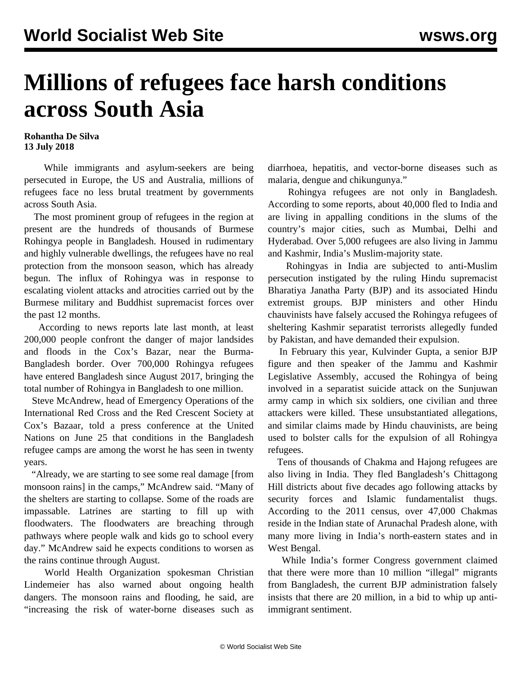## **Millions of refugees face harsh conditions across South Asia**

## **Rohantha De Silva 13 July 2018**

 While immigrants and asylum-seekers are being persecuted in Europe, the US and Australia, millions of refugees face no less brutal treatment by governments across South Asia.

 The most prominent group of refugees in the region at present are the hundreds of thousands of Burmese Rohingya people in Bangladesh. Housed in rudimentary and highly vulnerable dwellings, the refugees have no real protection from the monsoon season, which has already begun. The influx of Rohingya was in response to escalating violent attacks and atrocities carried out by the Burmese military and Buddhist supremacist forces over the past 12 months.

 According to news reports late last month, at least 200,000 people confront the danger of major landsides and floods in the Cox's Bazar, near the Burma-Bangladesh border. Over 700,000 Rohingya refugees have entered Bangladesh since August 2017, bringing the total number of Rohingya in Bangladesh to one million.

 Steve McAndrew, head of Emergency Operations of the International Red Cross and the Red Crescent Society at Cox's Bazaar, told a press conference at the United Nations on June 25 that conditions in the Bangladesh refugee camps are among the worst he has seen in twenty years.

 "Already, we are starting to see some real damage [from monsoon rains] in the camps," McAndrew said. "Many of the shelters are starting to collapse. Some of the roads are impassable. Latrines are starting to fill up with floodwaters. The floodwaters are breaching through pathways where people walk and kids go to school every day." McAndrew said he expects conditions to worsen as the rains continue through August.

 World Health Organization spokesman Christian Lindemeier has also warned about ongoing health dangers. The monsoon rains and flooding, he said, are "increasing the risk of water-borne diseases such as

diarrhoea, hepatitis, and vector-borne diseases such as malaria, dengue and chikungunya."

 Rohingya refugees are not only in Bangladesh. According to some reports, about 40,000 fled to India and are living in appalling conditions in the slums of the country's major cities, such as Mumbai, Delhi and Hyderabad. Over 5,000 refugees are also living in Jammu and Kashmir, India's Muslim-majority state.

 Rohingyas in India are subjected to anti-Muslim persecution instigated by the ruling Hindu supremacist Bharatiya Janatha Party (BJP) and its associated Hindu extremist groups. BJP ministers and other Hindu chauvinists have falsely accused the Rohingya refugees of sheltering Kashmir separatist terrorists allegedly funded by Pakistan, and have demanded their expulsion.

 In February this year, Kulvinder Gupta, a senior BJP figure and then speaker of the Jammu and Kashmir Legislative Assembly, accused the Rohingya of being involved in a separatist suicide attack on the Sunjuwan army camp in which six soldiers, one civilian and three attackers were killed. These unsubstantiated allegations, and similar claims made by Hindu chauvinists, are being used to bolster calls for the expulsion of all Rohingya refugees.

 Tens of thousands of Chakma and Hajong refugees are also living in India. They fled Bangladesh's Chittagong Hill districts about five decades ago following attacks by security forces and Islamic fundamentalist thugs. According to the 2011 census, over 47,000 Chakmas reside in the Indian state of Arunachal Pradesh alone, with many more living in India's north-eastern states and in West Bengal.

 While India's former Congress government claimed that there were more than 10 million "illegal" migrants from Bangladesh, the current BJP administration falsely insists that there are 20 million, in a bid to whip up antiimmigrant sentiment.